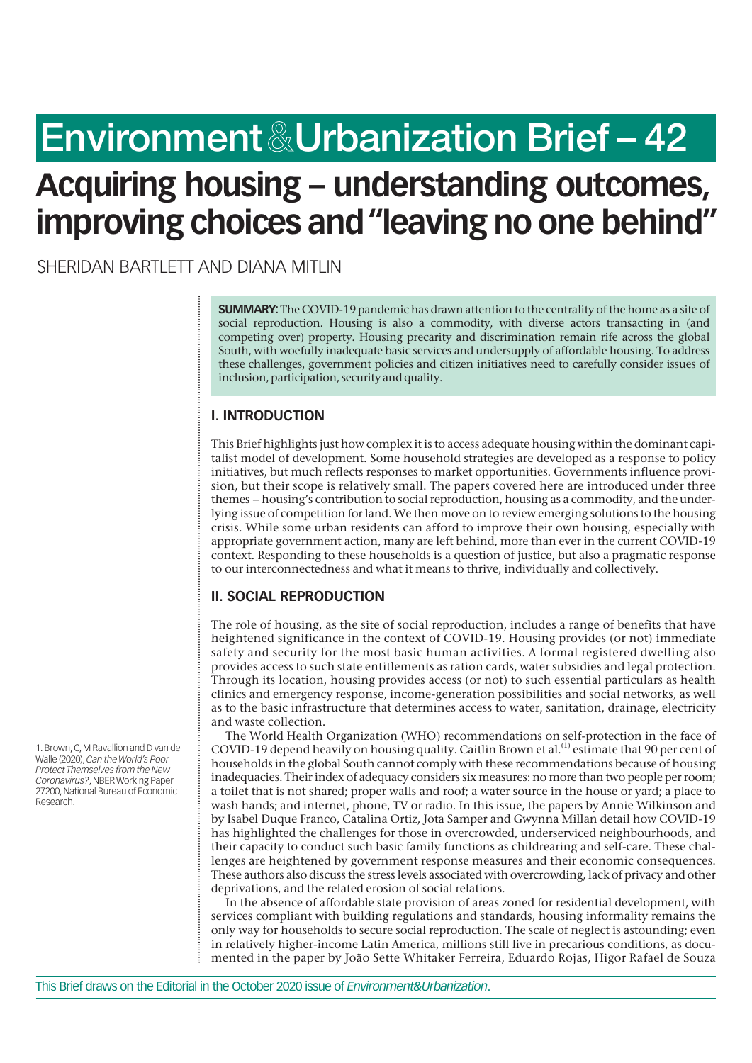# **Environment & Urbanization Brief – 42**

# **Acquiring housing – understanding outcomes, improving choices and "leaving no one behind"**

SHERIDAN BARTLETT AND DIANA MITLIN

**SUMMARY:**The COVID-19 pandemic has drawn attention to the centrality of the home as a site of social reproduction. Housing is also a commodity, with diverse actors transacting in (and competing over) property. Housing precarity and discrimination remain rife across the global South, with woefully inadequate basic services and undersupply of affordable housing. To address these challenges, government policies and citizen initiatives need to carefully consider issues of inclusion, participation, security and quality.

# **I. INTRODUCTION**

This Brief highlights just how complex it is to access adequate housing within the dominant capitalist model of development. Some household strategies are developed as a response to policy initiatives, but much reflects responses to market opportunities. Governments influence provision, but their scope is relatively small. The papers covered here are introduced under three themes – housing's contribution to social reproduction, housing as a commodity, and the underlying issue of competition for land. We then move on to review emerging solutions to the housing crisis. While some urban residents can afford to improve their own housing, especially with appropriate government action, many are left behind, more than ever in the current COVID-19 context. Responding to these households is a question of justice, but also a pragmatic response to our interconnectedness and what it means to thrive, individually and collectively.

# **II. SOCIAL REPRODUCTION**

The role of housing, as the site of social reproduction, includes a range of benefits that have heightened significance in the context of COVID-19. Housing provides (or not) immediate safety and security for the most basic human activities. A formal registered dwelling also provides access to such state entitlements as ration cards, water subsidies and legal protection. Through its location, housing provides access (or not) to such essential particulars as health clinics and emergency response, income-generation possibilities and social networks, as well as to the basic infrastructure that determines access to water, sanitation, drainage, electricity and waste collection.

The World Health Organization (WHO) recommendations on self-protection in the face of COVID-19 depend heavily on housing quality. Caitlin Brown et al.<sup>(1)</sup> estimate that 90 per cent of households in the global South cannot comply with these recommendations because of housing inadequacies. Their index of adequacy considers six measures: no more than two people per room; a toilet that is not shared; proper walls and roof; a water source in the house or yard; a place to wash hands; and internet, phone, TV or radio. In this issue, the papers by Annie Wilkinson and by Isabel Duque Franco, Catalina Ortiz, Jota Samper and Gwynna Millan detail how COVID-19 has highlighted the challenges for those in overcrowded, underserviced neighbourhoods, and their capacity to conduct such basic family functions as childrearing and self-care. These challenges are heightened by government response measures and their economic consequences. These authors also discuss the stress levels associated with overcrowding, lack of privacy and other deprivations, and the related erosion of social relations.

In the absence of affordable state provision of areas zoned for residential development, with services compliant with building regulations and standards, housing informality remains the only way for households to secure social reproduction. The scale of neglect is astounding; even in relatively higher-income Latin America, millions still live in precarious conditions, as documented in the paper by João Sette Whitaker Ferreira, Eduardo Rojas, Higor Rafael de Souza

1. Brown, C, M Ravallion and D van de Walle (2020), *Can the World's Poor Protect Themselves from the New Coronavirus?*, NBER Working Paper 27200, National Bureau of Economic Research.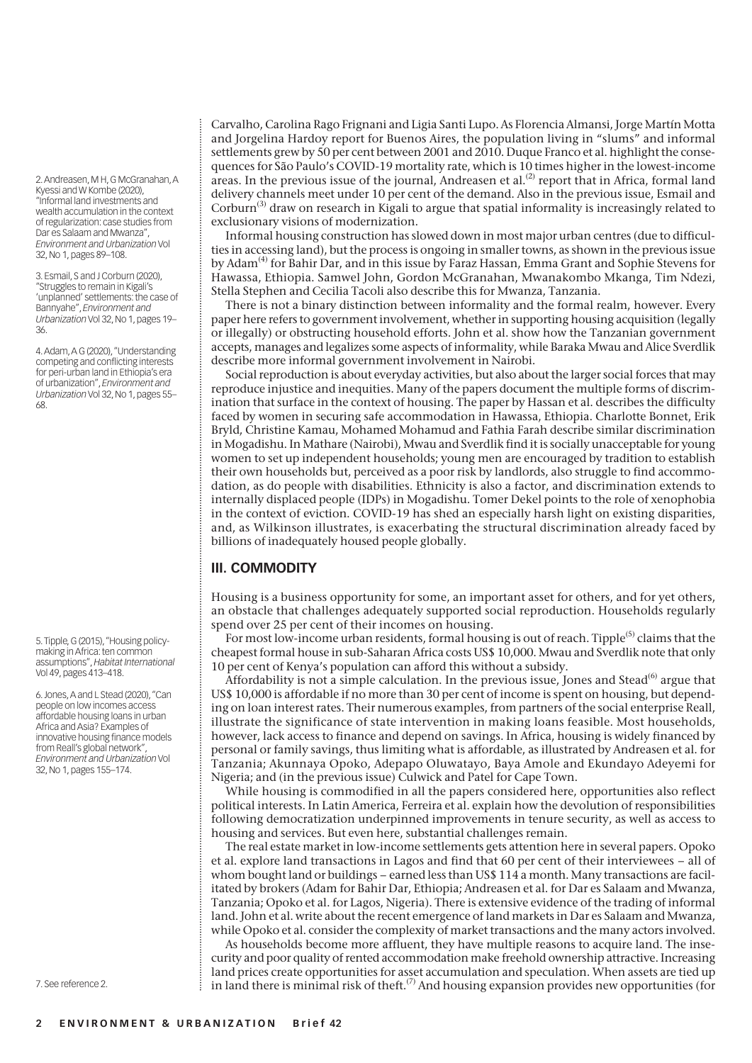2. Andreasen, M H, G McGranahan, A Kyessi and W Kombe (2020), "Informal land investments and wealth accumulation in the context of regularization: case studies from Dar es Salaam and Mwanza", *Environment and Urbanization* Vol 32, No 1, pages 89–108.

3. Esmail, S and J Corburn (2020), "Struggles to remain in Kigali's 'unplanned' settlements: the case of Bannyahe", *Environment and Urbanization* Vol 32, No 1, pages 19– 36.

4. Adam, A G (2020), "Understanding competing and conflicting interests for peri-urban land in Ethiopia's era of urbanization", *Environment and Urbanization* Vol 32, No 1, pages 55– 68.

5. Tipple, G (2015), "Housing policymaking in Africa: ten common assumptions", *Habitat International* Vol 49, pages 413–418.

6. Jones, A and L Stead (2020), "Can people on low incomes access affordable housing loans in urban Africa and Asia? Examples of innovative housing finance models from Reall's global network", *Environment and Urbanization* Vol 32, No 1, pages 155–174.

7. See reference 2.

Carvalho, Carolina Rago Frignani and Ligia Santi Lupo. As Florencia Almansi, Jorge Martín Motta and Jorgelina Hardoy report for Buenos Aires, the population living in "slums" and informal settlements grew by 50 per cent between 2001 and 2010. Duque Franco et al. highlight the consequences for São Paulo's COVID-19 mortality rate, which is 10 times higher in the lowest-income areas. In the previous issue of the journal, Andreasen et al.<sup>(2)</sup> report that in Africa, formal land delivery channels meet under 10 per cent of the demand. Also in the previous issue, Esmail and Corburn<sup>(3)</sup> draw on research in Kigali to argue that spatial informality is increasingly related to exclusionary visions of modernization.

Informal housing construction has slowed down in most major urban centres (due to difficulties in accessing land), but the process is ongoing in smaller towns, as shown in the previous issue by Adam<sup>(4)</sup> for Bahir Dar, and in this issue by Faraz Hassan, Emma Grant and Sophie Stevens for Hawassa, Ethiopia. Samwel John, Gordon McGranahan, Mwanakombo Mkanga, Tim Ndezi, Stella Stephen and Cecilia Tacoli also describe this for Mwanza, Tanzania.

There is not a binary distinction between informality and the formal realm, however. Every paper here refers to government involvement, whether in supporting housing acquisition (legally or illegally) or obstructing household efforts. John et al. show how the Tanzanian government accepts, manages and legalizes some aspects of informality, while Baraka Mwau and Alice Sverdlik describe more informal government involvement in Nairobi.

Social reproduction is about everyday activities, but also about the larger social forces that may reproduce injustice and inequities. Many of the papers document the multiple forms of discrimination that surface in the context of housing. The paper by Hassan et al. describes the difficulty faced by women in securing safe accommodation in Hawassa, Ethiopia. Charlotte Bonnet, Erik Bryld, Christine Kamau, Mohamed Mohamud and Fathia Farah describe similar discrimination in Mogadishu. In Mathare (Nairobi), Mwau and Sverdlik find it is socially unacceptable for young women to set up independent households; young men are encouraged by tradition to establish their own households but, perceived as a poor risk by landlords, also struggle to find accommodation, as do people with disabilities. Ethnicity is also a factor, and discrimination extends to internally displaced people (IDPs) in Mogadishu. Tomer Dekel points to the role of xenophobia in the context of eviction. COVID-19 has shed an especially harsh light on existing disparities, and, as Wilkinson illustrates, is exacerbating the structural discrimination already faced by billions of inadequately housed people globally.

# **III. COMMODITY**

Housing is a business opportunity for some, an important asset for others, and for yet others, an obstacle that challenges adequately supported social reproduction. Households regularly spend over 25 per cent of their incomes on housing.

For most low-income urban residents, formal housing is out of reach. Tipple<sup>(5)</sup> claims that the cheapest formal house in sub-Saharan Africa costs US\$ 10,000. Mwau and Sverdlik note that only 10 per cent of Kenya's population can afford this without a subsidy.

Affordability is not a simple calculation. In the previous issue, Jones and Stead<sup>(6)</sup> argue that US\$ 10,000 is affordable if no more than 30 per cent of income is spent on housing, but depending on loan interest rates. Their numerous examples, from partners of the social enterprise Reall, illustrate the significance of state intervention in making loans feasible. Most households, however, lack access to finance and depend on savings. In Africa, housing is widely financed by personal or family savings, thus limiting what is affordable, as illustrated by Andreasen et al. for Tanzania; Akunnaya Opoko, Adepapo Oluwatayo, Baya Amole and Ekundayo Adeyemi for Nigeria; and (in the previous issue) Culwick and Patel for Cape Town.

While housing is commodified in all the papers considered here, opportunities also reflect political interests. In Latin America, Ferreira et al. explain how the devolution of responsibilities following democratization underpinned improvements in tenure security, as well as access to housing and services. But even here, substantial challenges remain.

The real estate market in low-income settlements gets attention here in several papers. Opoko et al. explore land transactions in Lagos and find that 60 per cent of their interviewees – all of whom bought land or buildings – earned less than US\$ 114 a month. Many transactions are facilitated by brokers (Adam for Bahir Dar, Ethiopia; Andreasen et al. for Dar es Salaam and Mwanza, Tanzania; Opoko et al. for Lagos, Nigeria). There is extensive evidence of the trading of informal land. John et al. write about the recent emergence of land markets in Dar es Salaam and Mwanza, while Opoko et al. consider the complexity of market transactions and the many actors involved.

As households become more affluent, they have multiple reasons to acquire land. The insecurity and poor quality of rented accommodation make freehold ownership attractive. Increasing land prices create opportunities for asset accumulation and speculation. When assets are tied up in land there is minimal risk of theft.<sup> $(7)$ </sup> And housing expansion provides new opportunities (for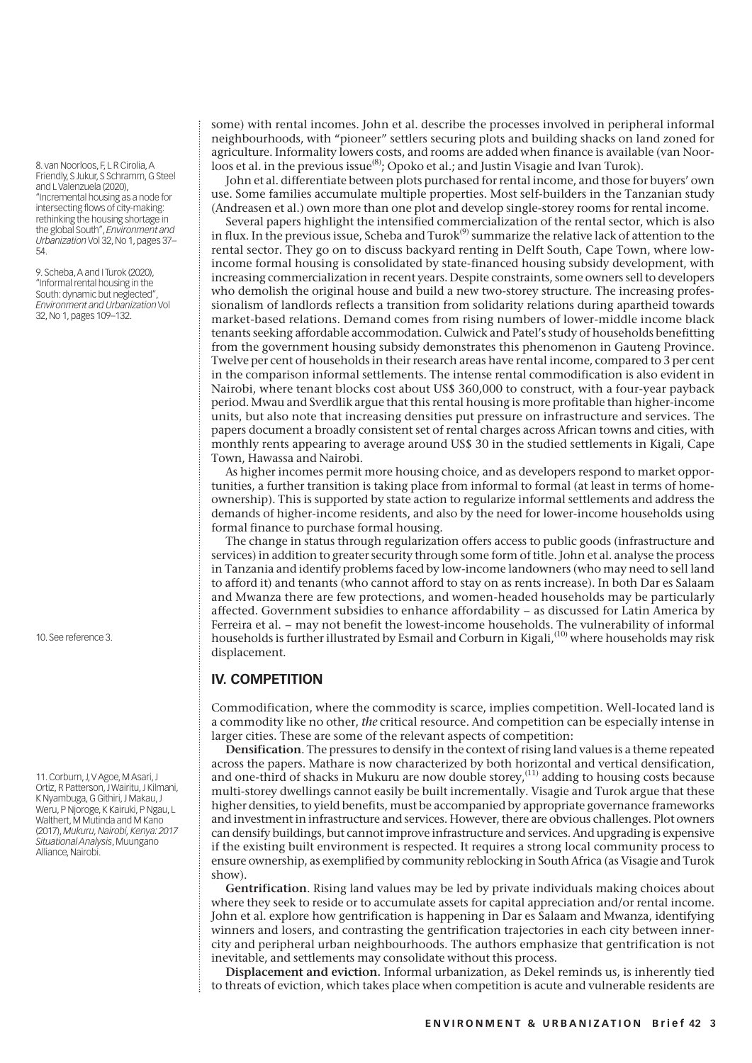8. van Noorloos, F, L R Cirolia, A Friendly, S Jukur, S Schramm, G Steel and L Valenzuela (2020), "Incremental housing as a node for intersecting flows of city-making: rethinking the housing shortage in the global South", *Environment and Urbanization* Vol 32, No 1, pages 37– 54.

9. Scheba, A and I Turok (2020), "Informal rental housing in the South: dynamic but neglected", *Environment and Urbanization* Vol 32, No 1, pages 109–132.

10. See reference 3.

11. Corburn, J, V Agoe, M Asari, J Ortiz, R Patterson, J Wairitu, J Kilmani, K Nyambuga, G Githiri, J Makau, J Weru, P Njoroge, K Kairuki, P Ngau, L Walthert, M Mutinda and M Kano (2017), *Mukuru, Nairobi, Kenya: 2017 Situational Analysis*, Muungano Alliance, Nairobi.

some) with rental incomes. John et al. describe the processes involved in peripheral informal neighbourhoods, with "pioneer" settlers securing plots and building shacks on land zoned for agriculture. Informality lowers costs, and rooms are added when finance is available (van Noorloos et al. in the previous issue<sup>(8)</sup>; Opoko et al.; and Justin Visagie and Ivan Turok).

John et al. differentiate between plots purchased for rental income, and those for buyers' own use. Some families accumulate multiple properties. Most self-builders in the Tanzanian study (Andreasen et al.) own more than one plot and develop single-storey rooms for rental income.

Several papers highlight the intensified commercialization of the rental sector, which is also in flux. In the previous issue, Scheba and Turok<sup>(9)</sup> summarize the relative lack of attention to the rental sector. They go on to discuss backyard renting in Delft South, Cape Town, where lowincome formal housing is consolidated by state-financed housing subsidy development, with increasing commercialization in recent years. Despite constraints, some owners sell to developers who demolish the original house and build a new two-storey structure. The increasing professionalism of landlords reflects a transition from solidarity relations during apartheid towards market-based relations. Demand comes from rising numbers of lower-middle income black tenants seeking affordable accommodation. Culwick and Patel's study of households benefitting from the government housing subsidy demonstrates this phenomenon in Gauteng Province. Twelve per cent of households in their research areas have rental income, compared to 3 per cent in the comparison informal settlements. The intense rental commodification is also evident in Nairobi, where tenant blocks cost about US\$ 360,000 to construct, with a four-year payback period. Mwau and Sverdlik argue that this rental housing is more profitable than higher-income units, but also note that increasing densities put pressure on infrastructure and services. The papers document a broadly consistent set of rental charges across African towns and cities, with monthly rents appearing to average around US\$ 30 in the studied settlements in Kigali, Cape Town, Hawassa and Nairobi.

As higher incomes permit more housing choice, and as developers respond to market opportunities, a further transition is taking place from informal to formal (at least in terms of homeownership). This is supported by state action to regularize informal settlements and address the demands of higher-income residents, and also by the need for lower-income households using formal finance to purchase formal housing.

The change in status through regularization offers access to public goods (infrastructure and services) in addition to greater security through some form of title. John et al. analyse the process in Tanzania and identify problems faced by low-income landowners (who may need to sell land to afford it) and tenants (who cannot afford to stay on as rents increase). In both Dar es Salaam and Mwanza there are few protections, and women-headed households may be particularly affected. Government subsidies to enhance affordability – as discussed for Latin America by Ferreira et al. – may not benefit the lowest-income households. The vulnerability of informal households is further illustrated by Esmail and Corburn in Kigali,<sup>(10)</sup> where households may risk displacement.

# **IV. COMPETITION**

Commodification, where the commodity is scarce, implies competition. Well-located land is a commodity like no other, *the* critical resource. And competition can be especially intense in larger cities. These are some of the relevant aspects of competition:

**Densification**. The pressures to densify in the context of rising land values is a theme repeated across the papers. Mathare is now characterized by both horizontal and vertical densification, and one-third of shacks in Mukuru are now double storey,<sup> $(11)$ </sup> adding to housing costs because multi-storey dwellings cannot easily be built incrementally. Visagie and Turok argue that these higher densities, to yield benefits, must be accompanied by appropriate governance frameworks and investment in infrastructure and services. However, there are obvious challenges. Plot owners can densify buildings, but cannot improve infrastructure and services. And upgrading is expensive if the existing built environment is respected. It requires a strong local community process to ensure ownership, as exemplified by community reblocking in South Africa (as Visagie and Turok show).

**Gentrification**. Rising land values may be led by private individuals making choices about where they seek to reside or to accumulate assets for capital appreciation and/or rental income. John et al. explore how gentrification is happening in Dar es Salaam and Mwanza, identifying winners and losers, and contrasting the gentrification trajectories in each city between innercity and peripheral urban neighbourhoods. The authors emphasize that gentrification is not inevitable, and settlements may consolidate without this process.

**Displacement and eviction.** Informal urbanization, as Dekel reminds us, is inherently tied to threats of eviction, which takes place when competition is acute and vulnerable residents are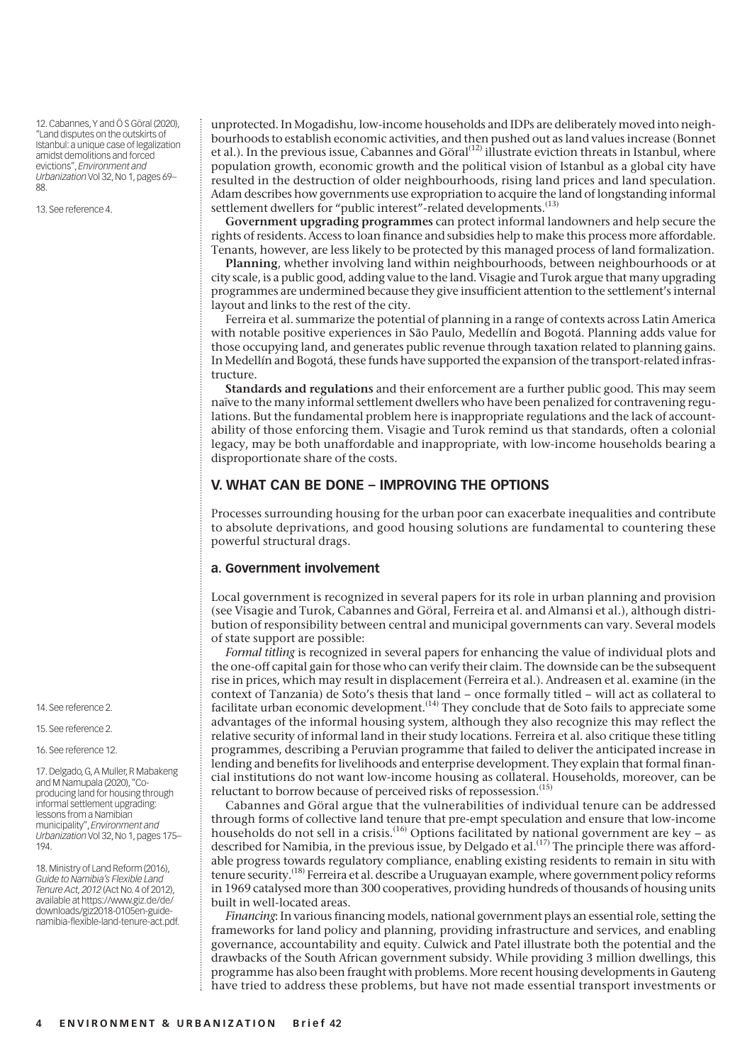12. Cabannes, Y and Ö S Göral (2020), "Land disputes on the outskirts of Istanbul: a unique case of legalization amidst demolitions and forced evictions", *Environment and Urbanization* Vol 32, No 1, pages 69– 88.

13. See reference 4.

unprotected. In Mogadishu, low-income households and IDPs are deliberately moved into neighbourhoods to establish economic activities, and then pushed out as land values increase (Bonnet et al.). In the previous issue, Cabannes and Göral<sup>(12)</sup> illustrate eviction threats in Istanbul, where population growth, economic growth and the political vision of Istanbul as a global city have resulted in the destruction of older neighbourhoods, rising land prices and land speculation. Adam describes how governments use expropriation to acquire the land of longstanding informal settlement dwellers for "public interest"-related developments.<sup>(13)</sup>

**Government upgrading programmes** can protect informal landowners and help secure the rights of residents. Access to loan finance and subsidies help to make this process more affordable. Tenants, however, are less likely to be protected by this managed process of land formalization.

**Planning**, whether involving land within neighbourhoods, between neighbourhoods or at city scale, is a public good, adding value to the land. Visagie and Turok argue that many upgrading programmes are undermined because they give insufficient attention to the settlement's internal layout and links to the rest of the city.

Ferreira et al. summarize the potential of planning in a range of contexts across Latin America with notable positive experiences in São Paulo, Medellín and Bogotá. Planning adds value for those occupying land, and generates public revenue through taxation related to planning gains. In Medellín and Bogotá, these funds have supported the expansion of the transport-related infrastructure.

**Standards and regulations** and their enforcement are a further public good. This may seem naïve to the many informal settlement dwellers who have been penalized for contravening regulations. But the fundamental problem here is inappropriate regulations and the lack of accountability of those enforcing them. Visagie and Turok remind us that standards, often a colonial legacy, may be both unaffordable and inappropriate, with low-income households bearing a disproportionate share of the costs.

#### **V. WHAT CAN BE DONE – IMPROVING THE OPTIONS**

Processes surrounding housing for the urban poor can exacerbate inequalities and contribute to absolute deprivations, and good housing solutions are fundamental to countering these powerful structural drags.

#### **a. Government involvement**

Local government is recognized in several papers for its role in urban planning and provision (see Visagie and Turok, Cabannes and Göral, Ferreira et al. and Almansi et al.), although distribution of responsibility between central and municipal governments can vary. Several models of state support are possible:

*Formal titling* is recognized in several papers for enhancing the value of individual plots and the one-off capital gain for those who can verify their claim. The downside can be the subsequent rise in prices, which may result in displacement (Ferreira et al.). Andreasen et al. examine (in the context of Tanzania) de Soto's thesis that land – once formally titled – will act as collateral to facilitate urban economic development.<sup> $(14)$ </sup> They conclude that de Soto fails to appreciate some advantages of the informal housing system, although they also recognize this may reflect the relative security of informal land in their study locations. Ferreira et al. also critique these titling programmes, describing a Peruvian programme that failed to deliver the anticipated increase in lending and benefits for livelihoods and enterprise development. They explain that formal financial institutions do not want low-income housing as collateral. Households, moreover, can be reluctant to borrow because of perceived risks of repossession.<sup>(15)</sup>

Cabannes and Göral argue that the vulnerabilities of individual tenure can be addressed through forms of collective land tenure that pre-empt speculation and ensure that low-income households do not sell in a crisis.<sup>(16)</sup> Options facilitated by national government are key – as described for Namibia, in the previous issue, by Delgado et al.<sup>(17)</sup> The principle there was affordable progress towards regulatory compliance, enabling existing residents to remain in situ with tenure security.(18) Ferreira et al. describe a Uruguayan example, where government policy reforms in 1969 catalysed more than 300 cooperatives, providing hundreds of thousands of housing units built in well-located areas.

*Financing*: In various financing models, national government plays an essential role, setting the frameworks for land policy and planning, providing infrastructure and services, and enabling governance, accountability and equity. Culwick and Patel illustrate both the potential and the drawbacks of the South African government subsidy. While providing 3 million dwellings, this programme has also been fraught with problems. More recent housing developments in Gauteng have tried to address these problems, but have not made essential transport investments or

14. See reference 2.

15. See reference 2.

16. See reference 12.

17. Delgado, G, A Muller, R Mabakeng and M Namupala (2020), "Coproducing land for housing through informal settlement upgrading: lessons from a Namibian municipality", *Environment and Urbanization* Vol 32, No 1, pages 175– 194.

18. Ministry of Land Reform (2016), *Guide to Namibia's Flexible Land Tenure Act, 2012* (Act No. 4 of 2012), available at https://www.giz.de/de/ downloads/giz2018-0105en-guidenamibia-flexible-land-tenure-act.pdf.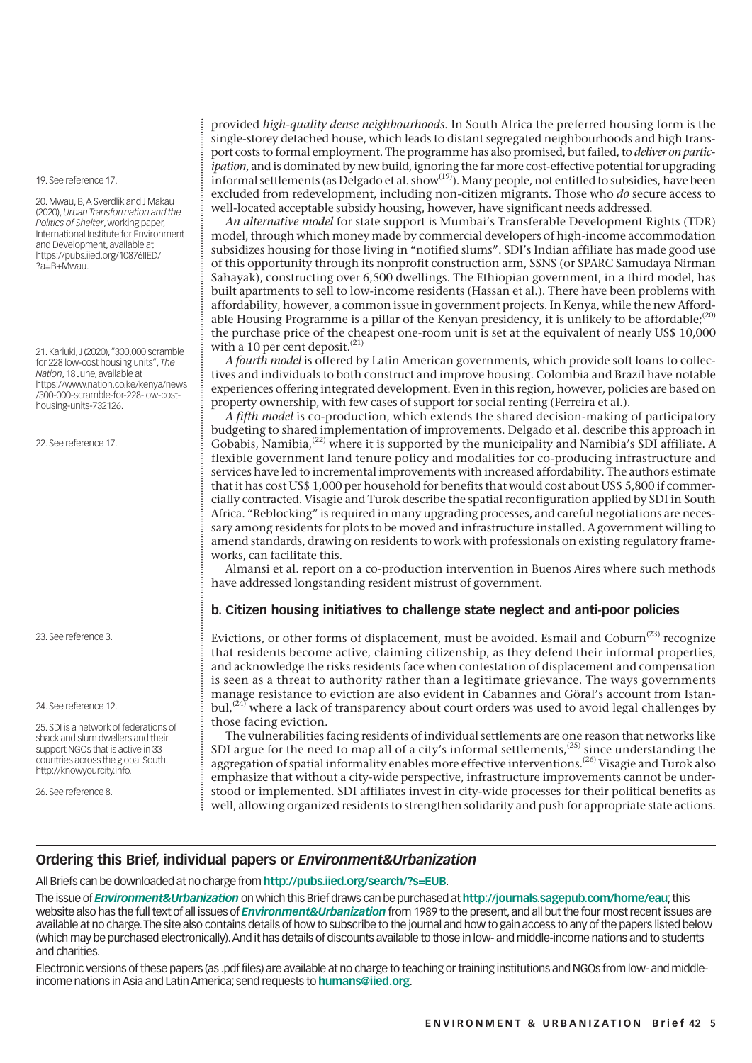19. See reference 17.

20. Mwau, B, A Sverdlik and J Makau (2020), *Urban Transformation and the Politics of Shelter*, working paper, International Institute for Environment and Development, available at https://pubs.iied.org/10876IIED/ ?a=B+Mwau.

21. Kariuki, J (2020), "300,000 scramble for 228 low-cost housing units", *The Nation*, 18 June, available at https://www.nation.co.ke/kenya/news /300-000-scramble-for-228-low-costhousing-units-732126.

[22. See reference 17.](https://www.nation.co.ke/kenya/news/300-000-scramble-for-228-low-cost-housing-units-732126) 

23. See reference 3.

24. See reference 12.

25. SDI is a network of federations of shack and slum dwellers and their support NGOs that is active in 33 countries across the global South. http://knowyourcity.info.

26. See reference 8.

provided *high-quality dense neighbourhoods*. In South Africa the preferred housing form is the single-storey detached house, which leads to distant segregated neighbourhoods and high transport costs to formal employment. The programme has also promised, but failed, to *deliver on participation*, and is dominated by new build, ignoring the far more cost-effective potential for upgrading informal settlements (as Delgado et al. show(19)). Many people, not entitled to subsidies, have been excluded from redevelopment, including non-citizen migrants. Those who *do* secure access to well-located acceptable subsidy housing, however, have significant needs addressed.

*An alternative model* for state support is Mumbai's Transferable Development Rights (TDR) model, through which money made by commercial developers of high-income accommodation subsidizes housing for those living in "notified slums". SDI's Indian affiliate has made good use of this opportunity through its nonprofit construction arm, SSNS (or SPARC Samudaya Nirman Sahayak), constructing over 6,500 dwellings. The Ethiopian government, in a third model, has built apartments to sell to low-income residents (Hassan et al.). There have been problems with affordability, however, a common issue in government projects. In Kenya, while the new Affordable Housing Programme is a pillar of the Kenyan presidency, it is unlikely to be affordable: $^{(20)}$ the purchase price of the cheapest one-room unit is set at the equivalent of nearly US\$ 10,000 with a 10 per cent deposit.<sup>(21)</sup>

*A fourth model* is offered by Latin American governments, which provide soft loans to collectives and individuals to both construct and improve housing. Colombia and Brazil have notable experiences offering integrated development. Even in this region, however, policies are based on property ownership, with few cases of support for social renting (Ferreira et al.).

*A fifth model* is co-production, which extends the shared decision-making of participatory budgeting to shared implementation of improvements. Delgado et al. describe this approach in Gobabis, Namibia,<sup>(22)</sup> where it is supported by the municipality and Namibia's SDI affiliate. A flexible government land tenure policy and modalities for co-producing infrastructure and services have led to incremental improvements with increased affordability. The authors estimate that it has cost US\$ 1,000 per household for benefits that would cost about US\$ 5,800 if commercially contracted. Visagie and Turok describe the spatial reconfiguration applied by SDI in South Africa. "Reblocking" is required in many upgrading processes, and careful negotiations are necessary among residents for plots to be moved and infrastructure installed. A government willing to amend standards, drawing on residents to work with professionals on existing regulatory frameworks, can facilitate this.

Almansi et al. report on a co-production intervention in Buenos Aires where such methods have addressed longstanding resident mistrust of government.

#### **b. Citizen housing initiatives to challenge state neglect and anti-poor policies**

Evictions, or other forms of displacement, must be avoided. Esmail and Coburn<sup> $(23)$ </sup> recognize that residents become active, claiming citizenship, as they defend their informal properties, and acknowledge the risks residents face when contestation of displacement and compensation is seen as a threat to authority rather than a legitimate grievance. The ways governments manage resistance to eviction are also evident in Cabannes and Göral's account from Istan $bul<sup>(24)</sup>$  where a lack of transparency about court orders was used to avoid legal challenges by those facing eviction.

The vulnerabilities facing residents of individual settlements are one reason that networks like SDI argue for the need to map all of a city's informal settlements,<sup> $(25)$ </sup> since understanding the aggregation of spatial informality enables more effective interventions.<sup>(26)</sup> Visagie and Turok also emphasize that without a city-wide perspective, infrastructure improvements cannot be understood or implemented. SDI affiliates invest in city-wide processes for their political benefits as well, allowing organized residents to strengthen solidarity and push for appropriate state actions.

### **Ordering this Brief, individual papers or** *Environment&Urbanization*

All Briefs can be downloaded at no charge from **http://pubs.iied.org/search/?s=EUB**.

The issue of *Environment&Urbanization* on which this Brief draws can be purchased at **http://journals.sagepub.com/home/eau**; this website also has the full text of all issues of *Environment&Urbanization* from 1989 to the present, and all but the four most recent issues are available at no charge. The site also contains details of how to subscribe to the journal and how to gain access to any of the papers listed below (which may be purchased electronically). And it [has details of discounts available to tho](http://pubs.iied.org/search/?s=EUB)se in low- and middle-income nations and to students and charities.

Electronic versions of these papers (as .pdf files) are available at no charge to teaching or [training institutions and NGOs from low- and](http://journals.sagepub.com/home/eau) middleincome nations in Asia and Latin America; send requests to **humans@iied.org**.